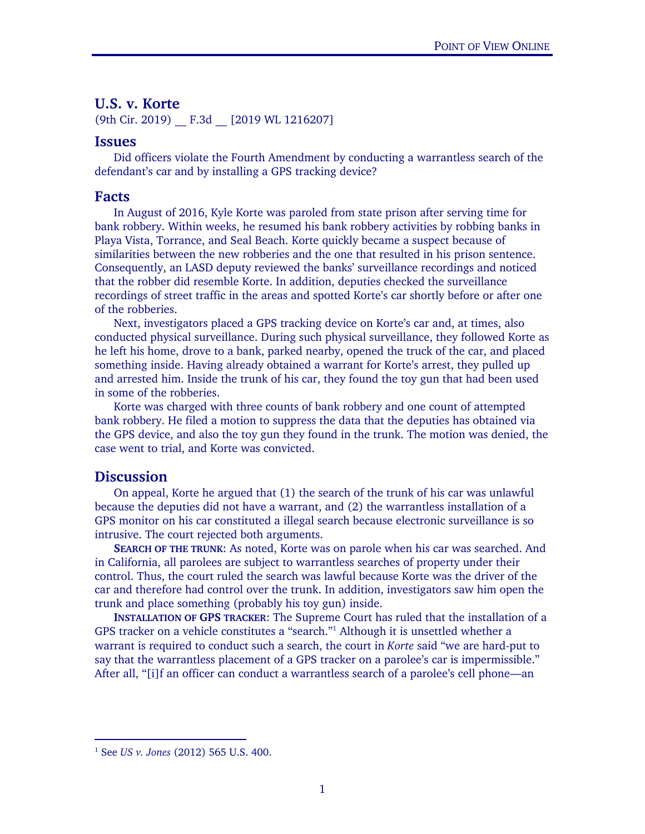## U.S. v. Korte

(9th Cir. 2019) \_\_ F.3d \_\_ [2019 WL 1216207]

## Issues

Did officers violate the Fourth Amendment by conducting a warrantless search of the defendant's car and by installing a GPS tracking device?

## Facts

 In August of 2016, Kyle Korte was paroled from state prison after serving time for bank robbery. Within weeks, he resumed his bank robbery activities by robbing banks in Playa Vista, Torrance, and Seal Beach. Korte quickly became a suspect because of similarities between the new robberies and the one that resulted in his prison sentence. Consequently, an LASD deputy reviewed the banks' surveillance recordings and noticed that the robber did resemble Korte. In addition, deputies checked the surveillance recordings of street traffic in the areas and spotted Korte's car shortly before or after one of the robberies.

 Next, investigators placed a GPS tracking device on Korte's car and, at times, also conducted physical surveillance. During such physical surveillance, they followed Korte as he left his home, drove to a bank, parked nearby, opened the truck of the car, and placed something inside. Having already obtained a warrant for Korte's arrest, they pulled up and arrested him. Inside the trunk of his car, they found the toy gun that had been used in some of the robberies.

 Korte was charged with three counts of bank robbery and one count of attempted bank robbery. He filed a motion to suppress the data that the deputies has obtained via the GPS device, and also the toy gun they found in the trunk. The motion was denied, the case went to trial, and Korte was convicted.

## **Discussion**

-

On appeal, Korte he argued that (1) the search of the trunk of his car was unlawful because the deputies did not have a warrant, and (2) the warrantless installation of a GPS monitor on his car constituted a illegal search because electronic surveillance is so intrusive. The court rejected both arguments.

SEARCH OF THE TRUNK: As noted, Korte was on parole when his car was searched. And in California, all parolees are subject to warrantless searches of property under their control. Thus, the court ruled the search was lawful because Korte was the driver of the car and therefore had control over the trunk. In addition, investigators saw him open the trunk and place something (probably his toy gun) inside.

INSTALLATION OF GPS TRACKER: The Supreme Court has ruled that the installation of a GPS tracker on a vehicle constitutes a "search."<sup>1</sup> Although it is unsettled whether a warrant is required to conduct such a search, the court in *Korte* said "we are hard-put to say that the warrantless placement of a GPS tracker on a parolee's car is impermissible." After all, "[i]f an officer can conduct a warrantless search of a parolee's cell phone—an

<sup>1</sup> See *US v. Jones* (2012) 565 U.S. 400.